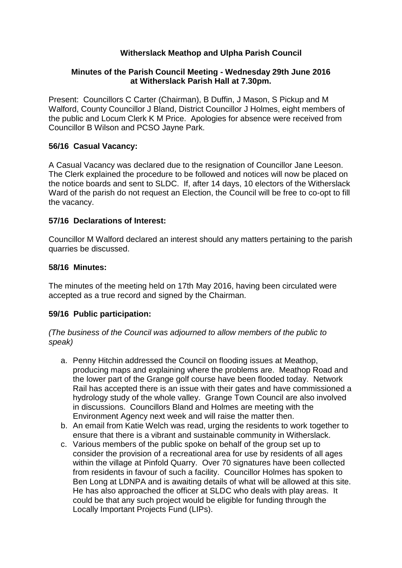# **Witherslack Meathop and Ulpha Parish Council**

### **Minutes of the Parish Council Meeting - Wednesday 29th June 2016 at Witherslack Parish Hall at 7.30pm.**

Present: Councillors C Carter (Chairman), B Duffin, J Mason, S Pickup and M Walford, County Councillor J Bland, District Councillor J Holmes, eight members of the public and Locum Clerk K M Price. Apologies for absence were received from Councillor B Wilson and PCSO Jayne Park.

### **56/16 Casual Vacancy:**

A Casual Vacancy was declared due to the resignation of Councillor Jane Leeson. The Clerk explained the procedure to be followed and notices will now be placed on the notice boards and sent to SLDC. If, after 14 days, 10 electors of the Witherslack Ward of the parish do not request an Election, the Council will be free to co-opt to fill the vacancy.

#### **57/16 Declarations of Interest:**

Councillor M Walford declared an interest should any matters pertaining to the parish quarries be discussed.

#### **58/16 Minutes:**

The minutes of the meeting held on 17th May 2016, having been circulated were accepted as a true record and signed by the Chairman.

#### **59/16 Public participation:**

*(The business of the Council was adjourned to allow members of the public to speak)*

- a. Penny Hitchin addressed the Council on flooding issues at Meathop, producing maps and explaining where the problems are. Meathop Road and the lower part of the Grange golf course have been flooded today. Network Rail has accepted there is an issue with their gates and have commissioned a hydrology study of the whole valley. Grange Town Council are also involved in discussions. Councillors Bland and Holmes are meeting with the Environment Agency next week and will raise the matter then.
- b. An email from Katie Welch was read, urging the residents to work together to ensure that there is a vibrant and sustainable community in Witherslack.
- c. Various members of the public spoke on behalf of the group set up to consider the provision of a recreational area for use by residents of all ages within the village at Pinfold Quarry. Over 70 signatures have been collected from residents in favour of such a facility. Councillor Holmes has spoken to Ben Long at LDNPA and is awaiting details of what will be allowed at this site. He has also approached the officer at SLDC who deals with play areas. It could be that any such project would be eligible for funding through the Locally Important Projects Fund (LIPs).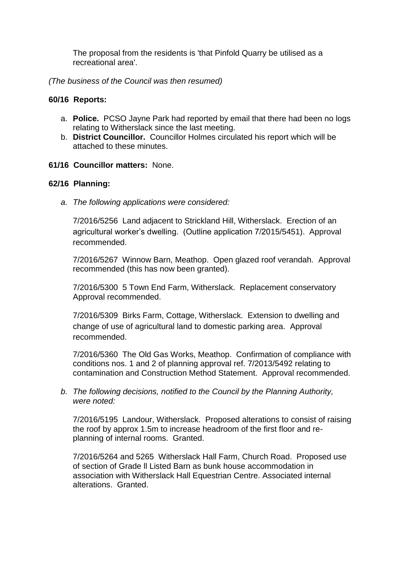The proposal from the residents is 'that Pinfold Quarry be utilised as a recreational area'.

*(The business of the Council was then resumed)*

### **60/16 Reports:**

- a. **Police.** PCSO Jayne Park had reported by email that there had been no logs relating to Witherslack since the last meeting.
- b. **District Councillor.** Councillor Holmes circulated his report which will be attached to these minutes.
- **61/16 Councillor matters:** None.

### **62/16 Planning:**

*a. The following applications were considered:*

7/2016/5256 Land adjacent to Strickland Hill, Witherslack. Erection of an agricultural worker's dwelling. (Outline application 7/2015/5451). Approval recommended.

7/2016/5267 Winnow Barn, Meathop. Open glazed roof verandah. Approval recommended (this has now been granted).

7/2016/5300 5 Town End Farm, Witherslack. Replacement conservatory Approval recommended.

7/2016/5309 Birks Farm, Cottage, Witherslack. Extension to dwelling and change of use of agricultural land to domestic parking area. Approval recommended.

7/2016/5360 The Old Gas Works, Meathop. Confirmation of compliance with conditions nos. 1 and 2 of planning approval ref. 7/2013/5492 relating to contamination and Construction Method Statement. Approval recommended.

*b. The following decisions, notified to the Council by the Planning Authority, were noted:*

7/2016/5195 Landour, Witherslack. Proposed alterations to consist of raising the roof by approx 1.5m to increase headroom of the first floor and replanning of internal rooms. Granted.

7/2016/5264 and 5265 Witherslack Hall Farm, Church Road. Proposed use of section of Grade ll Listed Barn as bunk house accommodation in association with Witherslack Hall Equestrian Centre. Associated internal alterations. Granted.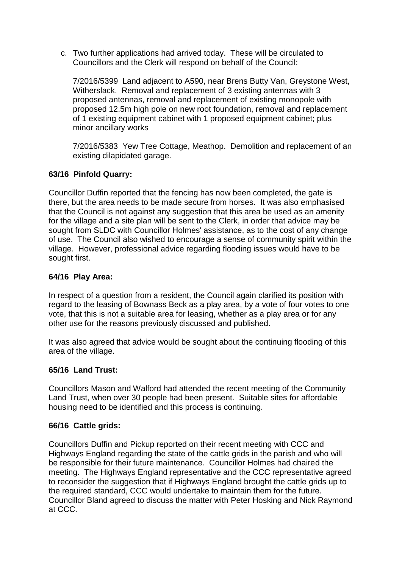c. Two further applications had arrived today. These will be circulated to Councillors and the Clerk will respond on behalf of the Council:

7/2016/5399 Land adjacent to A590, near Brens Butty Van, Greystone West, Witherslack. Removal and replacement of 3 existing antennas with 3 proposed antennas, removal and replacement of existing monopole with proposed 12.5m high pole on new root foundation, removal and replacement of 1 existing equipment cabinet with 1 proposed equipment cabinet; plus minor ancillary works

7/2016/5383 Yew Tree Cottage, Meathop. Demolition and replacement of an existing dilapidated garage.

## **63/16 Pinfold Quarry:**

Councillor Duffin reported that the fencing has now been completed, the gate is there, but the area needs to be made secure from horses. It was also emphasised that the Council is not against any suggestion that this area be used as an amenity for the village and a site plan will be sent to the Clerk, in order that advice may be sought from SLDC with Councillor Holmes' assistance, as to the cost of any change of use. The Council also wished to encourage a sense of community spirit within the village. However, professional advice regarding flooding issues would have to be sought first.

### **64/16 Play Area:**

In respect of a question from a resident, the Council again clarified its position with regard to the leasing of Bownass Beck as a play area, by a vote of four votes to one vote, that this is not a suitable area for leasing, whether as a play area or for any other use for the reasons previously discussed and published.

It was also agreed that advice would be sought about the continuing flooding of this area of the village.

### **65/16 Land Trust:**

Councillors Mason and Walford had attended the recent meeting of the Community Land Trust, when over 30 people had been present. Suitable sites for affordable housing need to be identified and this process is continuing.

### **66/16 Cattle grids:**

Councillors Duffin and Pickup reported on their recent meeting with CCC and Highways England regarding the state of the cattle grids in the parish and who will be responsible for their future maintenance. Councillor Holmes had chaired the meeting. The Highways England representative and the CCC representative agreed to reconsider the suggestion that if Highways England brought the cattle grids up to the required standard, CCC would undertake to maintain them for the future. Councillor Bland agreed to discuss the matter with Peter Hosking and Nick Raymond at CCC.